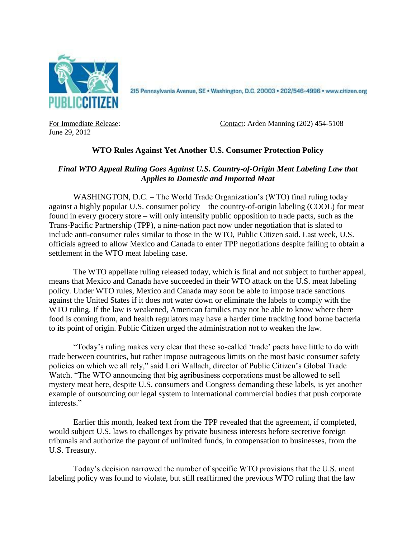

215 Pennsylvania Avenue, SE · Washington, D.C. 20003 · 202/546-4996 · www.citizen.org

June 29, 2012

For Immediate Release: Contact: Arden Manning (202) 454-5108

## **WTO Rules Against Yet Another U.S. Consumer Protection Policy**

## *Final WTO Appeal Ruling Goes Against U.S. Country-of-Origin Meat Labeling Law that Applies to Domestic and Imported Meat*

WASHINGTON, D.C. – The World Trade Organization's (WTO) final ruling today against a highly popular U.S. consumer policy – the country-of-origin labeling (COOL) for meat found in every grocery store – will only intensify public opposition to trade pacts, such as the Trans-Pacific Partnership (TPP), a nine-nation pact now under negotiation that is slated to include anti-consumer rules similar to those in the WTO, Public Citizen said. Last week, U.S. officials agreed to allow Mexico and Canada to enter TPP negotiations despite failing to obtain a settlement in the WTO meat labeling case.

The WTO appellate ruling released today, which is final and not subject to further appeal, means that Mexico and Canada have succeeded in their WTO attack on the U.S. meat labeling policy. Under WTO rules, Mexico and Canada may soon be able to impose trade sanctions against the United States if it does not water down or eliminate the labels to comply with the WTO ruling. If the law is weakened, American families may not be able to know where there food is coming from, and health regulators may have a harder time tracking food borne bacteria to its point of origin. Public Citizen urged the administration not to weaken the law.

"Today's ruling makes very clear that these so-called 'trade' pacts have little to do with trade between countries, but rather impose outrageous limits on the most basic consumer safety policies on which we all rely," said Lori Wallach, director of Public Citizen's Global Trade Watch. "The WTO announcing that big agribusiness corporations must be allowed to sell mystery meat here, despite U.S. consumers and Congress demanding these labels, is yet another example of outsourcing our legal system to international commercial bodies that push corporate interests."

Earlier this month, leaked text from the TPP revealed that the agreement, if completed, would subject U.S. laws to challenges by private business interests before secretive foreign tribunals and authorize the payout of unlimited funds, in compensation to businesses, from the U.S. Treasury.

Today's decision narrowed the number of specific WTO provisions that the U.S. meat labeling policy was found to violate, but still reaffirmed the previous WTO ruling that the law